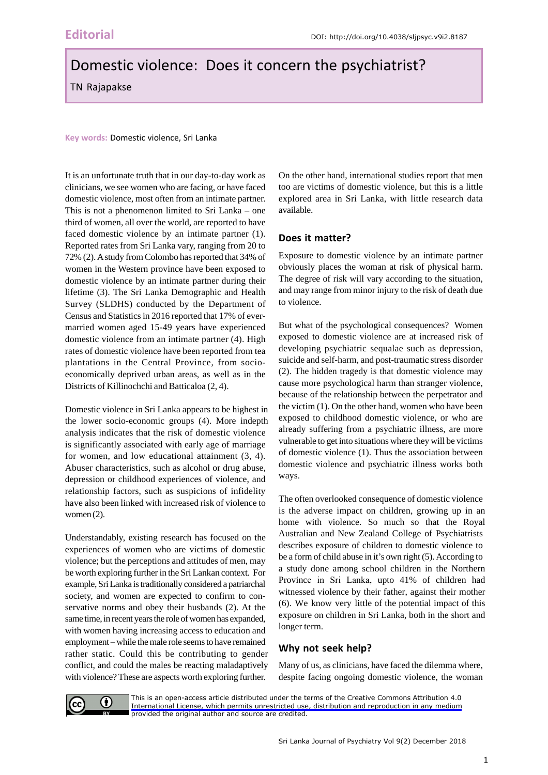# Domestic violence: Does it concern the psychiatrist?

TN Rajapakse

**Key words:** Domestic violence, Sri Lanka

It is an unfortunate truth that in our day-to-day work as clinicians, we see women who are facing, or have faced domestic violence, most often from an intimate partner. This is not a phenomenon limited to Sri Lanka – one third of women, all over the world, are reported to have faced domestic violence by an intimate partner (1). Reported rates from Sri Lanka vary, ranging from 20 to 72% (2). A study from Colombo has reported that 34% of women in the Western province have been exposed to domestic violence by an intimate partner during their lifetime (3). The Sri Lanka Demographic and Health Survey (SLDHS) conducted by the Department of Census and Statistics in 2016 reported that 17% of evermarried women aged 15-49 years have experienced domestic violence from an intimate partner (4). High rates of domestic violence have been reported from tea plantations in the Central Province, from socioeconomically deprived urban areas, as well as in the Districts of Killinochchi and Batticaloa (2, 4).

Domestic violence in Sri Lanka appears to be highest in the lower socio-economic groups (4). More indepth analysis indicates that the risk of domestic violence is significantly associated with early age of marriage for women, and low educational attainment (3, 4). Abuser characteristics, such as alcohol or drug abuse, depression or childhood experiences of violence, and relationship factors, such as suspicions of infidelity have also been linked with increased risk of violence to women (2).

Understandably, existing research has focused on the experiences of women who are victims of domestic violence; but the perceptions and attitudes of men, may be worth exploring further in the Sri Lankan context. For example, Sri Lanka is traditionally considered a patriarchal society, and women are expected to confirm to conservative norms and obey their husbands (2). At the same time, in recent years the role of women has expanded, with women having increasing access to education and employment – while the male role seems to have remained rather static. Could this be contributing to gender conflict, and could the males be reacting maladaptively with violence? These are aspects worth exploring further.

On the other hand, international studies report that men too are victims of domestic violence, but this is a little explored area in Sri Lanka, with little research data available.

### **Does it matter?**

Exposure to domestic violence by an intimate partner obviously places the woman at risk of physical harm. The degree of risk will vary according to the situation, and may range from minor injury to the risk of death due to violence.

But what of the psychological consequences? Women exposed to domestic violence are at increased risk of developing psychiatric sequalae such as depression, suicide and self-harm, and post-traumatic stress disorder (2). The hidden tragedy is that domestic violence may cause more psychological harm than stranger violence, because of the relationship between the perpetrator and the victim (1). On the other hand, women who have been exposed to childhood domestic violence, or who are already suffering from a psychiatric illness, are more vulnerable to get into situations where they will be victims of domestic violence (1). Thus the association between domestic violence and psychiatric illness works both ways.

The often overlooked consequence of domestic violence is the adverse impact on children, growing up in an home with violence. So much so that the Royal Australian and New Zealand College of Psychiatrists describes exposure of children to domestic violence to be a form of child abuse in it's own right (5). According to a study done among school children in the Northern Province in Sri Lanka, upto 41% of children had witnessed violence by their father, against their mother (6). We know very little of the potential impact of this exposure on children in Sri Lanka, both in the short and longer term.

## **Why not seek help?**

Many of us, as clinicians, have faced the dilemma where, despite facing ongoing domestic violence, the woman



[This is an open-access article distributed under the terms of the Creative Commons Attribution 4.0](https://creativecommons.org/licenses/by/4.0/legalcode) International License, which permits unrestricted use, distribution and reproduction in any medium provided the original author and source are credited.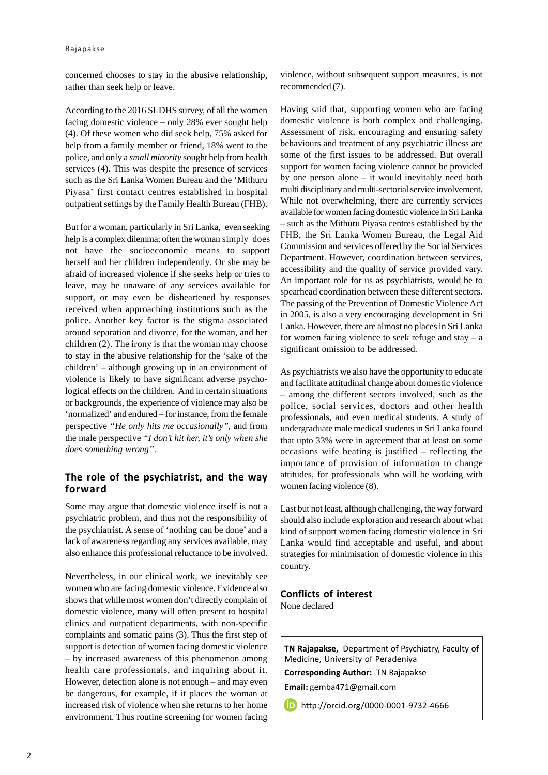concerned chooses to stay in the abusive relationship, rather than seek help or leave.

According to the 2016 SLDHS survey, of all the women facing domestic violence – only 28% ever sought help (4). Of these women who did seek help, 75% asked for help from a family member or friend, 18% went to the police, and only a *small minority* sought help from health services (4). This was despite the presence of services such as the Sri Lanka Women Bureau and the 'Mithuru Piyasa' first contact centres established in hospital outpatient settings by the Family Health Bureau (FHB).

But for a woman, particularly in Sri Lanka, even seeking help is a complex dilemma; often the woman simply does not have the socioeconomic means to support herself and her children independently. Or she may be afraid of increased violence if she seeks help or tries to leave, may be unaware of any services available for support, or may even be disheartened by responses received when approaching institutions such as the police. Another key factor is the stigma associated around separation and divorce, for the woman, and her children (2). The irony is that the woman may choose to stay in the abusive relationship for the 'sake of the children' – although growing up in an environment of violence is likely to have significant adverse psychological effects on the children. And in certain situations or backgrounds, the experience of violence may also be 'normalized' and endured – for instance, from the female perspective *"He only hits me occasionally",* and from the male perspective *"I don't hit her, it's only when she does something wrong"*.

#### **The role of the psychiatrist, and the way forward**

Some may argue that domestic violence itself is not a psychiatric problem, and thus not the responsibility of the psychiatrist. A sense of 'nothing can be done' and a lack of awareness regarding any services available, may also enhance this professional reluctance to be involved.

Nevertheless, in our clinical work, we inevitably see women who are facing domestic violence. Evidence also shows that while most women don't directly complain of domestic violence, many will often present to hospital clinics and outpatient departments, with non-specific complaints and somatic pains (3). Thus the first step of support is detection of women facing domestic violence – by increased awareness of this phenomenon among health care professionals, and inquiring about it. However, detection alone is not enough – and may even be dangerous, for example, if it places the woman at increased risk of violence when she returns to her home environment. Thus routine screening for women facing

violence, without subsequent support measures, is not recommended (7).

Having said that, supporting women who are facing domestic violence is both complex and challenging. Assessment of risk, encouraging and ensuring safety behaviours and treatment of any psychiatric illness are some of the first issues to be addressed. But overall support for women facing violence cannot be provided by one person alone – it would inevitably need both multi disciplinary and multi-sectorial service involvement. While not overwhelming, there are currently services available for women facing domestic violence in Sri Lanka – such as the Mithuru Piyasa centres established by the FHB, the Sri Lanka Women Bureau, the Legal Aid Commission and services offered by the Social Services Department. However, coordination between services, accessibility and the quality of service provided vary. An important role for us as psychiatrists, would be to spearhead coordination between these different sectors. The passing of the Prevention of Domestic Violence Act in 2005, is also a very encouraging development in Sri Lanka. However, there are almost no places in Sri Lanka for women facing violence to seek refuge and stay  $- a$ significant omission to be addressed.

As psychiatrists we also have the opportunity to educate and facilitate attitudinal change about domestic violence – among the different sectors involved, such as the police, social services, doctors and other health professionals, and even medical students. A study of undergraduate male medical students in Sri Lanka found that upto 33% were in agreement that at least on some occasions wife beating is justified – reflecting the importance of provision of information to change attitudes, for professionals who will be working with women facing violence (8).

Last but not least, although challenging, the way forward should also include exploration and research about what kind of support women facing domestic violence in Sri Lanka would find acceptable and useful, and about strategies for minimisation of domestic violence in this country.

#### **Conflicts of interest**

None declared

**TN Rajapakse,** Department of Psychiatry, Faculty of Medicine, University of Peradeniya **Corresponding Author:** TN Rajapakse **Email:** gemba471@gmail.com

**http://orcid.org/0000-0001-9732-4666**